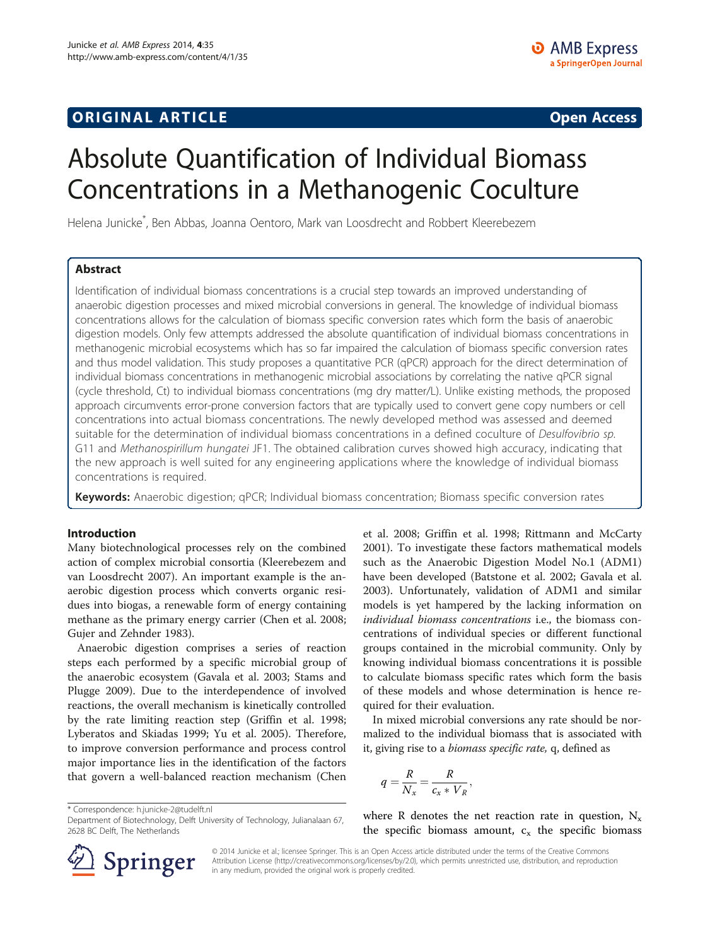# **ORIGINAL ARTICLE CONSERVANCE IN A LOCAL CONSERVANCE IN A LOCAL CONSERVANCE IN A LOCAL CONSERVANCE IN A LOCAL CONSERVANCE IN A LOCAL CONSERVANCE IN A LOCAL CONSERVANCE IN A LOCAL CONSERVANCE IN A LOCAL CONSERVANCE IN A L**

# Absolute Quantification of Individual Biomass Concentrations in a Methanogenic Coculture

Helena Junicke\* , Ben Abbas, Joanna Oentoro, Mark van Loosdrecht and Robbert Kleerebezem

# Abstract

Identification of individual biomass concentrations is a crucial step towards an improved understanding of anaerobic digestion processes and mixed microbial conversions in general. The knowledge of individual biomass concentrations allows for the calculation of biomass specific conversion rates which form the basis of anaerobic digestion models. Only few attempts addressed the absolute quantification of individual biomass concentrations in methanogenic microbial ecosystems which has so far impaired the calculation of biomass specific conversion rates and thus model validation. This study proposes a quantitative PCR (qPCR) approach for the direct determination of individual biomass concentrations in methanogenic microbial associations by correlating the native qPCR signal (cycle threshold, Ct) to individual biomass concentrations (mg dry matter/L). Unlike existing methods, the proposed approach circumvents error-prone conversion factors that are typically used to convert gene copy numbers or cell concentrations into actual biomass concentrations. The newly developed method was assessed and deemed suitable for the determination of individual biomass concentrations in a defined coculture of Desulfovibrio sp. G11 and Methanospirillum hungatei JF1. The obtained calibration curves showed high accuracy, indicating that the new approach is well suited for any engineering applications where the knowledge of individual biomass concentrations is required.

Keywords: Anaerobic digestion; qPCR; Individual biomass concentration; Biomass specific conversion rates

### Introduction

Many biotechnological processes rely on the combined action of complex microbial consortia (Kleerebezem and van Loosdrecht [2007\)](#page-6-0). An important example is the anaerobic digestion process which converts organic residues into biogas, a renewable form of energy containing methane as the primary energy carrier (Chen et al. [2008](#page-5-0); Gujer and Zehnder [1983\)](#page-6-0).

Anaerobic digestion comprises a series of reaction steps each performed by a specific microbial group of the anaerobic ecosystem (Gavala et al. [2003;](#page-6-0) Stams and Plugge [2009](#page-6-0)). Due to the interdependence of involved reactions, the overall mechanism is kinetically controlled by the rate limiting reaction step (Griffin et al. [1998](#page-6-0); Lyberatos and Skiadas [1999](#page-6-0); Yu et al. [2005\)](#page-7-0). Therefore, to improve conversion performance and process control major importance lies in the identification of the factors that govern a well-balanced reaction mechanism (Chen

\* Correspondence: [h.junicke-2@tudelft.nl](mailto:h.junicke-2@tudelft.nl)

et al. [2008](#page-5-0); Griffin et al. [1998;](#page-6-0) Rittmann and McCarty [2001](#page-6-0)). To investigate these factors mathematical models such as the Anaerobic Digestion Model No.1 (ADM1) have been developed (Batstone et al. [2002](#page-5-0); Gavala et al. [2003](#page-6-0)). Unfortunately, validation of ADM1 and similar models is yet hampered by the lacking information on individual biomass concentrations i.e., the biomass concentrations of individual species or different functional groups contained in the microbial community. Only by knowing individual biomass concentrations it is possible to calculate biomass specific rates which form the basis of these models and whose determination is hence required for their evaluation.

In mixed microbial conversions any rate should be normalized to the individual biomass that is associated with it, giving rise to a biomass specific rate, q, defined as

$$
q = \frac{R}{N_x} = \frac{R}{c_x * V_R},
$$

where R denotes the net reaction rate in question,  $N_x$ the specific biomass amount,  $c_x$  the specific biomass



© 2014 Junicke et al.; licensee Springer. This is an Open Access article distributed under the terms of the Creative Commons Attribution License [\(http://creativecommons.org/licenses/by/2.0\)](http://creativecommons.org/licenses/by/2.0), which permits unrestricted use, distribution, and reproduction in any medium, provided the original work is properly credited.

Department of Biotechnology, Delft University of Technology, Julianalaan 67, 2628 BC Delft, The Netherlands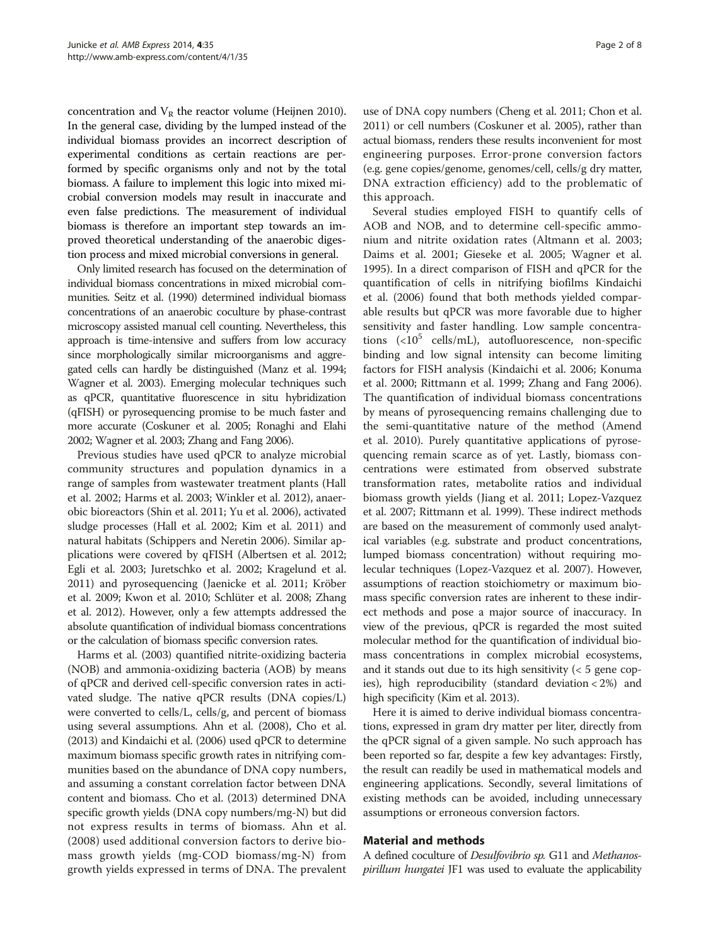concentration and  $V_R$  the reactor volume (Heijnen [2010](#page-6-0)). In the general case, dividing by the lumped instead of the individual biomass provides an incorrect description of experimental conditions as certain reactions are performed by specific organisms only and not by the total biomass. A failure to implement this logic into mixed microbial conversion models may result in inaccurate and even false predictions. The measurement of individual biomass is therefore an important step towards an improved theoretical understanding of the anaerobic digestion process and mixed microbial conversions in general.

Only limited research has focused on the determination of individual biomass concentrations in mixed microbial communities. Seitz et al. [\(1990\)](#page-6-0) determined individual biomass concentrations of an anaerobic coculture by phase-contrast microscopy assisted manual cell counting. Nevertheless, this approach is time-intensive and suffers from low accuracy since morphologically similar microorganisms and aggregated cells can hardly be distinguished (Manz et al. [1994](#page-6-0); Wagner et al. [2003](#page-7-0)). Emerging molecular techniques such as qPCR, quantitative fluorescence in situ hybridization (qFISH) or pyrosequencing promise to be much faster and more accurate (Coskuner et al. [2005](#page-6-0); Ronaghi and Elahi [2002](#page-6-0); Wagner et al. [2003;](#page-7-0) Zhang and Fang [2006\)](#page-7-0).

Previous studies have used qPCR to analyze microbial community structures and population dynamics in a range of samples from wastewater treatment plants (Hall et al. [2002](#page-6-0); Harms et al. [2003;](#page-6-0) Winkler et al. [2012](#page-7-0)), anaerobic bioreactors (Shin et al. [2011;](#page-6-0) Yu et al. [2006](#page-7-0)), activated sludge processes (Hall et al. [2002;](#page-6-0) Kim et al. [2011](#page-6-0)) and natural habitats (Schippers and Neretin [2006\)](#page-6-0). Similar applications were covered by qFISH (Albertsen et al. [2012](#page-5-0); Egli et al. [2003](#page-6-0); Juretschko et al. [2002;](#page-6-0) Kragelund et al. [2011\)](#page-6-0) and pyrosequencing (Jaenicke et al. [2011;](#page-6-0) Kröber et al. [2009](#page-6-0); Kwon et al. [2010](#page-6-0); Schlüter et al. [2008](#page-6-0); Zhang et al. [2012\)](#page-7-0). However, only a few attempts addressed the absolute quantification of individual biomass concentrations or the calculation of biomass specific conversion rates.

Harms et al. ([2003\)](#page-6-0) quantified nitrite-oxidizing bacteria (NOB) and ammonia-oxidizing bacteria (AOB) by means of qPCR and derived cell-specific conversion rates in activated sludge. The native qPCR results (DNA copies/L) were converted to cells/L, cells/g, and percent of biomass using several assumptions. Ahn et al. [\(2008](#page-5-0)), Cho et al. ([2013](#page-5-0)) and Kindaichi et al. [\(2006\)](#page-6-0) used qPCR to determine maximum biomass specific growth rates in nitrifying communities based on the abundance of DNA copy numbers, and assuming a constant correlation factor between DNA content and biomass. Cho et al. ([2013](#page-5-0)) determined DNA specific growth yields (DNA copy numbers/mg-N) but did not express results in terms of biomass. Ahn et al. ([2008](#page-5-0)) used additional conversion factors to derive biomass growth yields (mg-COD biomass/mg-N) from growth yields expressed in terms of DNA. The prevalent

use of DNA copy numbers (Cheng et al. [2011](#page-5-0); Chon et al. [2011](#page-5-0)) or cell numbers (Coskuner et al. [2005\)](#page-6-0), rather than actual biomass, renders these results inconvenient for most engineering purposes. Error-prone conversion factors (e.g. gene copies/genome, genomes/cell, cells/g dry matter, DNA extraction efficiency) add to the problematic of this approach.

Several studies employed FISH to quantify cells of AOB and NOB, and to determine cell-specific ammonium and nitrite oxidation rates (Altmann et al. [2003](#page-5-0); Daims et al. [2001](#page-6-0); Gieseke et al. [2005](#page-6-0); Wagner et al. [1995](#page-7-0)). In a direct comparison of FISH and qPCR for the quantification of cells in nitrifying biofilms Kindaichi et al. [\(2006\)](#page-6-0) found that both methods yielded comparable results but qPCR was more favorable due to higher sensitivity and faster handling. Low sample concentrations  $\left( <10^5$  cells/mL), autofluorescence, non-specific binding and low signal intensity can become limiting factors for FISH analysis (Kindaichi et al. [2006](#page-6-0); Konuma et al. [2000;](#page-6-0) Rittmann et al. [1999;](#page-6-0) Zhang and Fang [2006](#page-7-0)). The quantification of individual biomass concentrations by means of pyrosequencing remains challenging due to the semi-quantitative nature of the method (Amend et al. [2010\)](#page-5-0). Purely quantitative applications of pyrosequencing remain scarce as of yet. Lastly, biomass concentrations were estimated from observed substrate transformation rates, metabolite ratios and individual biomass growth yields (Jiang et al. [2011;](#page-6-0) Lopez-Vazquez et al. [2007;](#page-6-0) Rittmann et al. [1999\)](#page-6-0). These indirect methods are based on the measurement of commonly used analytical variables (e.g. substrate and product concentrations, lumped biomass concentration) without requiring molecular techniques (Lopez-Vazquez et al. [2007](#page-6-0)). However, assumptions of reaction stoichiometry or maximum biomass specific conversion rates are inherent to these indirect methods and pose a major source of inaccuracy. In view of the previous, qPCR is regarded the most suited molecular method for the quantification of individual biomass concentrations in complex microbial ecosystems, and it stands out due to its high sensitivity  $\left($  < 5 gene copies), high reproducibility (standard deviation < 2%) and high specificity (Kim et al. [2013](#page-6-0)).

Here it is aimed to derive individual biomass concentrations, expressed in gram dry matter per liter, directly from the qPCR signal of a given sample. No such approach has been reported so far, despite a few key advantages: Firstly, the result can readily be used in mathematical models and engineering applications. Secondly, several limitations of existing methods can be avoided, including unnecessary assumptions or erroneous conversion factors.

#### Material and methods

A defined coculture of Desulfovibrio sp. G11 and Methanospirillum hungatei JF1 was used to evaluate the applicability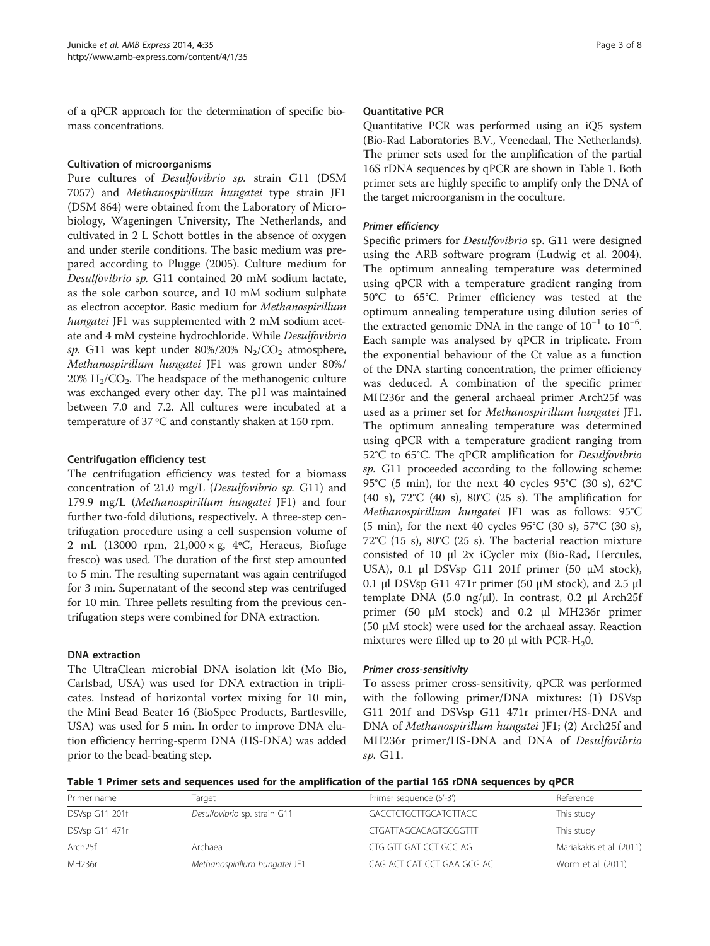of a qPCR approach for the determination of specific biomass concentrations.

### Cultivation of microorganisms

Pure cultures of Desulfovibrio sp. strain G11 (DSM 7057) and Methanospirillum hungatei type strain JF1 (DSM 864) were obtained from the Laboratory of Microbiology, Wageningen University, The Netherlands, and cultivated in 2 L Schott bottles in the absence of oxygen and under sterile conditions. The basic medium was prepared according to Plugge ([2005](#page-6-0)). Culture medium for Desulfovibrio sp. G11 contained 20 mM sodium lactate, as the sole carbon source, and 10 mM sodium sulphate as electron acceptor. Basic medium for Methanospirillum hungatei JF1 was supplemented with 2 mM sodium acetate and 4 mM cysteine hydrochloride. While Desulfovibrio sp. G11 was kept under  $80\%/20\%$  N<sub>2</sub>/CO<sub>2</sub> atmosphere, Methanospirillum hungatei JF1 was grown under 80%/  $20\%$  H<sub>2</sub>/CO<sub>2</sub>. The headspace of the methanogenic culture was exchanged every other day. The pH was maintained between 7.0 and 7.2. All cultures were incubated at a temperature of 37 ºC and constantly shaken at 150 rpm.

## Centrifugation efficiency test

The centrifugation efficiency was tested for a biomass concentration of 21.0 mg/L (Desulfovibrio sp. G11) and 179.9 mg/L (Methanospirillum hungatei JF1) and four further two-fold dilutions, respectively. A three-step centrifugation procedure using a cell suspension volume of 2 mL (13000 rpm, 21,000 × g, 4ºC, Heraeus, Biofuge fresco) was used. The duration of the first step amounted to 5 min. The resulting supernatant was again centrifuged for 3 min. Supernatant of the second step was centrifuged for 10 min. Three pellets resulting from the previous centrifugation steps were combined for DNA extraction.

### DNA extraction

The UltraClean microbial DNA isolation kit (Mo Bio, Carlsbad, USA) was used for DNA extraction in triplicates. Instead of horizontal vortex mixing for 10 min, the Mini Bead Beater 16 (BioSpec Products, Bartlesville, USA) was used for 5 min. In order to improve DNA elution efficiency herring-sperm DNA (HS-DNA) was added prior to the bead-beating step.

### Quantitative PCR

Quantitative PCR was performed using an iQ5 system (Bio-Rad Laboratories B.V., Veenedaal, The Netherlands). The primer sets used for the amplification of the partial 16S rDNA sequences by qPCR are shown in Table 1. Both primer sets are highly specific to amplify only the DNA of the target microorganism in the coculture.

Specific primers for *Desulfovibrio* sp. G11 were designed using the ARB software program (Ludwig et al. [2004](#page-6-0)). The optimum annealing temperature was determined using qPCR with a temperature gradient ranging from 50°C to 65°C. Primer efficiency was tested at the optimum annealing temperature using dilution series of the extracted genomic DNA in the range of  $10^{-1}$  to  $10^{-6}$ . Each sample was analysed by qPCR in triplicate. From the exponential behaviour of the Ct value as a function of the DNA starting concentration, the primer efficiency was deduced. A combination of the specific primer MH236r and the general archaeal primer Arch25f was used as a primer set for Methanospirillum hungatei JF1. The optimum annealing temperature was determined using qPCR with a temperature gradient ranging from 52°C to 65°C. The qPCR amplification for Desulfovibrio sp. G11 proceeded according to the following scheme: 95°C (5 min), for the next 40 cycles 95°C (30 s), 62°C (40 s), 72°C (40 s), 80°C (25 s). The amplification for Methanospirillum hungatei JF1 was as follows: 95°C (5 min), for the next 40 cycles 95°C (30 s), 57°C (30 s), 72°C (15 s), 80°C (25 s). The bacterial reaction mixture consisted of 10 μl 2x iCycler mix (Bio-Rad, Hercules, USA), 0.1 μl DSVsp G11 201f primer (50 μM stock), 0.1 μl DSVsp G11 471r primer (50 μM stock), and 2.5 μl template DNA (5.0 ng/μl). In contrast, 0.2 μl Arch25f primer (50 μM stock) and 0.2 μl MH236r primer (50 μM stock) were used for the archaeal assay. Reaction mixtures were filled up to 20  $\mu$ l with PCR-H<sub>2</sub>0.

To assess primer cross-sensitivity, qPCR was performed with the following primer/DNA mixtures: (1) DSVsp G11 201f and DSVsp G11 471r primer/HS-DNA and DNA of Methanospirillum hungatei JF1; (2) Arch25f and MH236r primer/HS-DNA and DNA of Desulfovibrio sp. G11.

Table 1 Primer sets and sequences used for the amplification of the partial 16S rDNA sequences by qPCR

| Primer name         | Target                        | Primer sequence (5'-3')    | Reference                |
|---------------------|-------------------------------|----------------------------|--------------------------|
| DSVsp G11 201f      | Desulfovibrio sp. strain G11  | GACCTCTGCTTGCATGTTACC      | This study               |
| DSVsp G11 471r      |                               | CTGATTAGCACAGTGCGGTTT      | This study               |
| Arch <sub>25f</sub> | Archaea                       | CTG GTT GAT CCT GCC AG     | Mariakakis et al. (2011) |
| MH <sub>236r</sub>  | Methanospirillum hungatei JF1 | CAG ACT CAT CCT GAA GCG AC | Worm et al. (2011)       |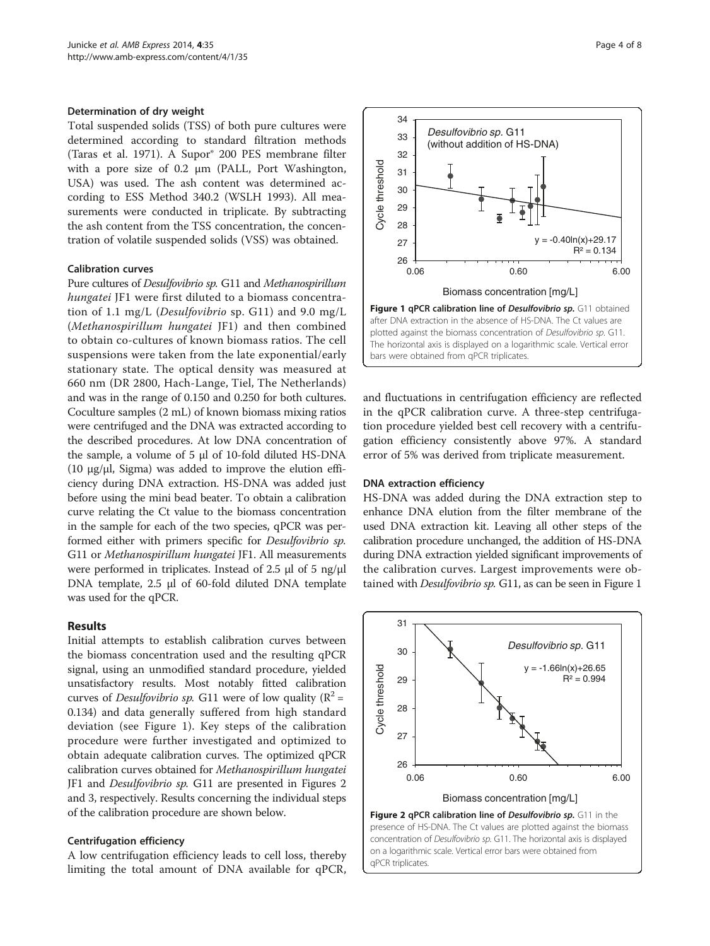#### <span id="page-3-0"></span>Determination of dry weight

Total suspended solids (TSS) of both pure cultures were determined according to standard filtration methods (Taras et al. [1971](#page-6-0)). A Supor® 200 PES membrane filter with a pore size of 0.2 μm (PALL, Port Washington, USA) was used. The ash content was determined according to ESS Method 340.2 (WSLH [1993\)](#page-7-0). All measurements were conducted in triplicate. By subtracting the ash content from the TSS concentration, the concentration of volatile suspended solids (VSS) was obtained.

#### Calibration curves

Pure cultures of Desulfovibrio sp. G11 and Methanospirillum hungatei JF1 were first diluted to a biomass concentration of 1.1 mg/L (*Desulfovibrio* sp. G11) and 9.0 mg/L (Methanospirillum hungatei JF1) and then combined to obtain co-cultures of known biomass ratios. The cell suspensions were taken from the late exponential/early stationary state. The optical density was measured at 660 nm (DR 2800, Hach-Lange, Tiel, The Netherlands) and was in the range of 0.150 and 0.250 for both cultures. Coculture samples (2 mL) of known biomass mixing ratios were centrifuged and the DNA was extracted according to the described procedures. At low DNA concentration of the sample, a volume of 5 μl of 10-fold diluted HS-DNA (10  $\mu$ g/ $\mu$ l, Sigma) was added to improve the elution efficiency during DNA extraction. HS-DNA was added just before using the mini bead beater. To obtain a calibration curve relating the Ct value to the biomass concentration in the sample for each of the two species, qPCR was performed either with primers specific for Desulfovibrio sp. G11 or Methanospirillum hungatei JF1. All measurements were performed in triplicates. Instead of 2.5 μl of 5 ng/μl DNA template, 2.5 μl of 60-fold diluted DNA template was used for the qPCR.

#### Results

Initial attempts to establish calibration curves between the biomass concentration used and the resulting qPCR signal, using an unmodified standard procedure, yielded unsatisfactory results. Most notably fitted calibration curves of *Desulfovibrio sp.* G11 were of low quality ( $R^2$  = 0.134) and data generally suffered from high standard deviation (see Figure 1). Key steps of the calibration procedure were further investigated and optimized to obtain adequate calibration curves. The optimized qPCR calibration curves obtained for Methanospirillum hungatei JF1 and Desulfovibrio sp. G11 are presented in Figures 2 and [3,](#page-4-0) respectively. Results concerning the individual steps of the calibration procedure are shown below.

#### Centrifugation efficiency

A low centrifugation efficiency leads to cell loss, thereby limiting the total amount of DNA available for qPCR,



and fluctuations in centrifugation efficiency are reflected in the qPCR calibration curve. A three-step centrifugation procedure yielded best cell recovery with a centrifugation efficiency consistently above 97%. A standard error of 5% was derived from triplicate measurement.

#### DNA extraction efficiency

HS-DNA was added during the DNA extraction step to enhance DNA elution from the filter membrane of the used DNA extraction kit. Leaving all other steps of the calibration procedure unchanged, the addition of HS-DNA during DNA extraction yielded significant improvements of the calibration curves. Largest improvements were obtained with Desulfovibrio sp. G11, as can be seen in Figure 1



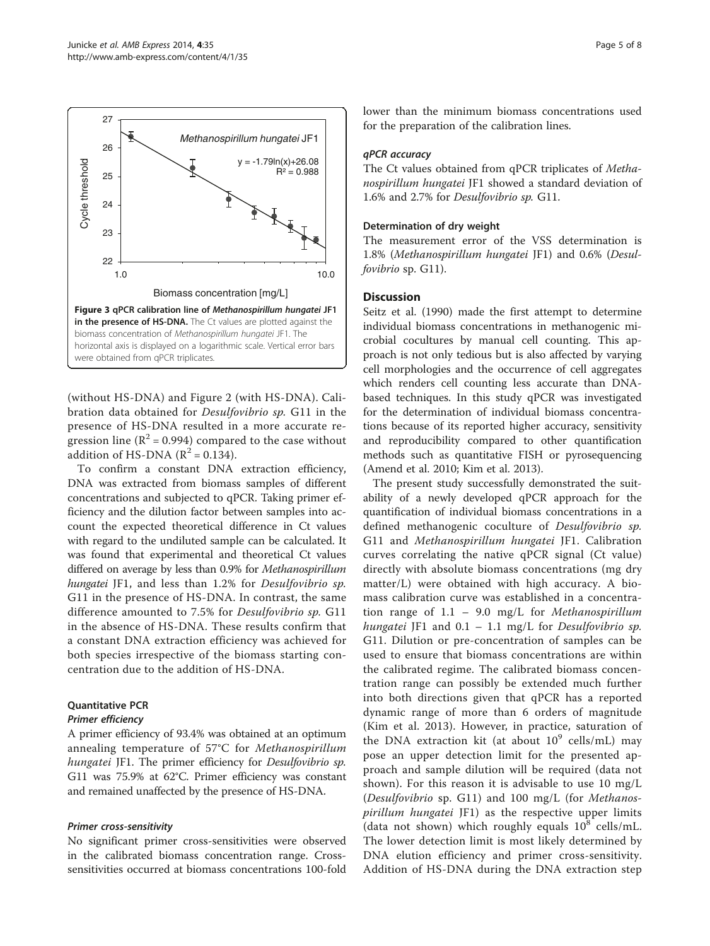<span id="page-4-0"></span>

(without HS-DNA) and Figure [2](#page-3-0) (with HS-DNA). Calibration data obtained for Desulfovibrio sp. G11 in the presence of HS-DNA resulted in a more accurate regression line ( $\mathbb{R}^2$  = 0.994) compared to the case without addition of HS-DNA  $(R^2 = 0.134)$ .

To confirm a constant DNA extraction efficiency, DNA was extracted from biomass samples of different concentrations and subjected to qPCR. Taking primer efficiency and the dilution factor between samples into account the expected theoretical difference in Ct values with regard to the undiluted sample can be calculated. It was found that experimental and theoretical Ct values differed on average by less than 0.9% for Methanospirillum hungatei JF1, and less than 1.2% for Desulfovibrio sp. G11 in the presence of HS-DNA. In contrast, the same difference amounted to 7.5% for Desulfovibrio sp. G11 in the absence of HS-DNA. These results confirm that a constant DNA extraction efficiency was achieved for both species irrespective of the biomass starting concentration due to the addition of HS-DNA.

### Quantitative PCR

A primer efficiency of 93.4% was obtained at an optimum annealing temperature of 57°C for Methanospirillum hungatei JF1. The primer efficiency for Desulfovibrio sp. G11 was 75.9% at 62°C. Primer efficiency was constant and remained unaffected by the presence of HS-DNA.

No significant primer cross-sensitivities were observed in the calibrated biomass concentration range. Crosssensitivities occurred at biomass concentrations 100-fold lower than the minimum biomass concentrations used for the preparation of the calibration lines.

The Ct values obtained from qPCR triplicates of Methanospirillum hungatei JF1 showed a standard deviation of 1.6% and 2.7% for Desulfovibrio sp. G11.

#### Determination of dry weight

The measurement error of the VSS determination is 1.8% (Methanospirillum hungatei JF1) and 0.6% (Desulfovibrio sp. G11).

#### **Discussion**

Seitz et al. [\(1990\)](#page-6-0) made the first attempt to determine individual biomass concentrations in methanogenic microbial cocultures by manual cell counting. This approach is not only tedious but is also affected by varying cell morphologies and the occurrence of cell aggregates which renders cell counting less accurate than DNAbased techniques. In this study qPCR was investigated for the determination of individual biomass concentrations because of its reported higher accuracy, sensitivity and reproducibility compared to other quantification methods such as quantitative FISH or pyrosequencing (Amend et al. [2010](#page-5-0); Kim et al. [2013\)](#page-6-0).

The present study successfully demonstrated the suitability of a newly developed qPCR approach for the quantification of individual biomass concentrations in a defined methanogenic coculture of Desulfovibrio sp. G11 and Methanospirillum hungatei JF1. Calibration curves correlating the native qPCR signal (Ct value) directly with absolute biomass concentrations (mg dry matter/L) were obtained with high accuracy. A biomass calibration curve was established in a concentration range of  $1.1 - 9.0$  mg/L for Methanospirillum hungatei JF1 and  $0.1 - 1.1$  mg/L for Desulfovibrio sp. G11. Dilution or pre-concentration of samples can be used to ensure that biomass concentrations are within the calibrated regime. The calibrated biomass concentration range can possibly be extended much further into both directions given that qPCR has a reported dynamic range of more than 6 orders of magnitude (Kim et al. [2013\)](#page-6-0). However, in practice, saturation of the DNA extraction kit (at about  $10^9$  cells/mL) may pose an upper detection limit for the presented approach and sample dilution will be required (data not shown). For this reason it is advisable to use 10 mg/L (Desulfovibrio sp. G11) and 100 mg/L (for Methanospirillum hungatei JF1) as the respective upper limits (data not shown) which roughly equals  $10^8$  cells/mL. The lower detection limit is most likely determined by DNA elution efficiency and primer cross-sensitivity. Addition of HS-DNA during the DNA extraction step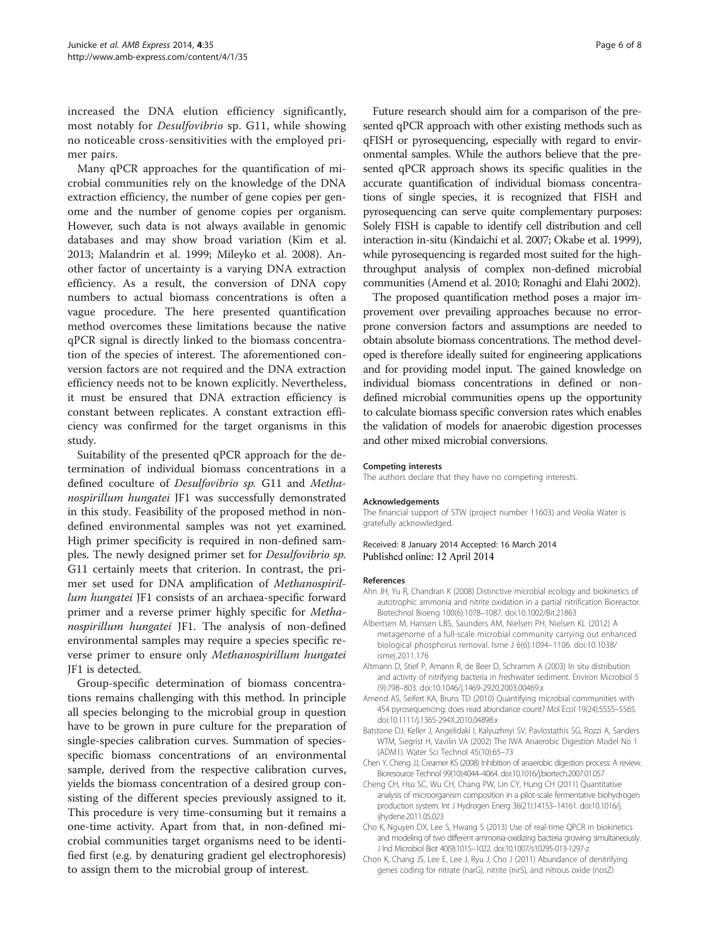<span id="page-5-0"></span>increased the DNA elution efficiency significantly, most notably for Desulfovibrio sp. G11, while showing no noticeable cross-sensitivities with the employed primer pairs.

Many qPCR approaches for the quantification of microbial communities rely on the knowledge of the DNA extraction efficiency, the number of gene copies per genome and the number of genome copies per organism. However, such data is not always available in genomic databases and may show broad variation (Kim et al. [2013](#page-6-0); Malandrin et al. [1999](#page-6-0); Mileyko et al. [2008\)](#page-6-0). Another factor of uncertainty is a varying DNA extraction efficiency. As a result, the conversion of DNA copy numbers to actual biomass concentrations is often a vague procedure. The here presented quantification method overcomes these limitations because the native qPCR signal is directly linked to the biomass concentration of the species of interest. The aforementioned conversion factors are not required and the DNA extraction efficiency needs not to be known explicitly. Nevertheless, it must be ensured that DNA extraction efficiency is constant between replicates. A constant extraction efficiency was confirmed for the target organisms in this study.

Suitability of the presented qPCR approach for the determination of individual biomass concentrations in a defined coculture of Desulfovibrio sp. G11 and Methanospirillum hungatei JF1 was successfully demonstrated in this study. Feasibility of the proposed method in nondefined environmental samples was not yet examined. High primer specificity is required in non-defined samples. The newly designed primer set for Desulfovibrio sp. G11 certainly meets that criterion. In contrast, the primer set used for DNA amplification of Methanospirillum hungatei JF1 consists of an archaea-specific forward primer and a reverse primer highly specific for Methanospirillum hungatei JF1. The analysis of non-defined environmental samples may require a species specific reverse primer to ensure only Methanospirillum hungatei JF1 is detected.

Group-specific determination of biomass concentrations remains challenging with this method. In principle all species belonging to the microbial group in question have to be grown in pure culture for the preparation of single-species calibration curves. Summation of speciesspecific biomass concentrations of an environmental sample, derived from the respective calibration curves, yields the biomass concentration of a desired group consisting of the different species previously assigned to it. This procedure is very time-consuming but it remains a one-time activity. Apart from that, in non-defined microbial communities target organisms need to be identified first (e.g. by denaturing gradient gel electrophoresis) to assign them to the microbial group of interest.

Future research should aim for a comparison of the presented qPCR approach with other existing methods such as qFISH or pyrosequencing, especially with regard to environmental samples. While the authors believe that the presented qPCR approach shows its specific qualities in the accurate quantification of individual biomass concentrations of single species, it is recognized that FISH and pyrosequencing can serve quite complementary purposes: Solely FISH is capable to identify cell distribution and cell interaction in-situ (Kindaichi et al. [2007](#page-6-0); Okabe et al. [1999](#page-6-0)), while pyrosequencing is regarded most suited for the highthroughput analysis of complex non-defined microbial communities (Amend et al. 2010; Ronaghi and Elahi [2002](#page-6-0)).

The proposed quantification method poses a major improvement over prevailing approaches because no errorprone conversion factors and assumptions are needed to obtain absolute biomass concentrations. The method developed is therefore ideally suited for engineering applications and for providing model input. The gained knowledge on individual biomass concentrations in defined or nondefined microbial communities opens up the opportunity to calculate biomass specific conversion rates which enables the validation of models for anaerobic digestion processes and other mixed microbial conversions.

#### Competing interests

The authors declare that they have no competing interests.

#### Acknowledgements

The financial support of STW (project number 11603) and Veolia Water is gratefully acknowledged.

Received: 8 January 2014 Accepted: 16 March 2014 Published online: 12 April 2014

#### References

- Ahn JH, Yu R, Chandran K (2008) Distinctive microbial ecology and biokinetics of autotrophic ammonia and nitrite oxidation in a partial nitrification Bioreactor. Biotechnol Bioeng 100(6):1078–1087. doi:10.1002/Bit.21863
- Albertsen M, Hansen LBS, Saunders AM, Nielsen PH, Nielsen KL (2012) A metagenome of a full-scale microbial community carrying out enhanced biological phosphorus removal. Isme J 6(6):1094–1106. doi:10.1038/ ismej.2011.176
- Altmann D, Stief P, Amann R, de Beer D, Schramm A (2003) In situ distribution and activity of nitrifying bacteria in freshwater sediment. Environ Microbiol 5 (9):798–803. doi:10.1046/j.1469-2920.2003.00469.x
- Amend AS, Seifert KA, Bruns TD (2010) Quantifying microbial communities with 454 pyrosequencing: does read abundance count? Mol Ecol 19(24):5555–5565. doi:10.1111/j.1365-294X.2010.04898.x
- Batstone DJ, Keller J, Angelidaki I, Kalyuzhnyi SV, Pavlostathis SG, Rozzi A, Sanders WTM, Siegrist H, Vavilin VA (2002) The IWA Anaerobic Digestion Model No 1 (ADM1). Water Sci Technol 45(10):65–73
- Chen Y, Cheng JJ, Creamer KS (2008) Inhibition of anaerobic digestion process: A review. Bioresource Technol 99(10):4044–4064. doi:10.1016/j.biortech.2007.01.057
- Cheng CH, Hsu SC, Wu CH, Chang PW, Lin CY, Hung CH (2011) Quantitative analysis of microorganism composition in a pilot-scale fermentative biohydrogen production system. Int J Hydrogen Energ 36(21):14153–14161. doi:10.1016/j. ijhydene.2011.05.023
- Cho K, Nguyen DX, Lee S, Hwang S (2013) Use of real-time QPCR in biokinetics and modeling of two different ammonia-oxidizing bacteria growing simultaneously. J Ind Microbiol Biot 40(9):1015–1022. doi:10.1007/s10295-013-1297-z
- Chon K, Chang JS, Lee E, Lee J, Ryu J, Cho J (2011) Abundance of denitrifying genes coding for nitrate (narG), nitrite (nirS), and nitrous oxide (nosZ)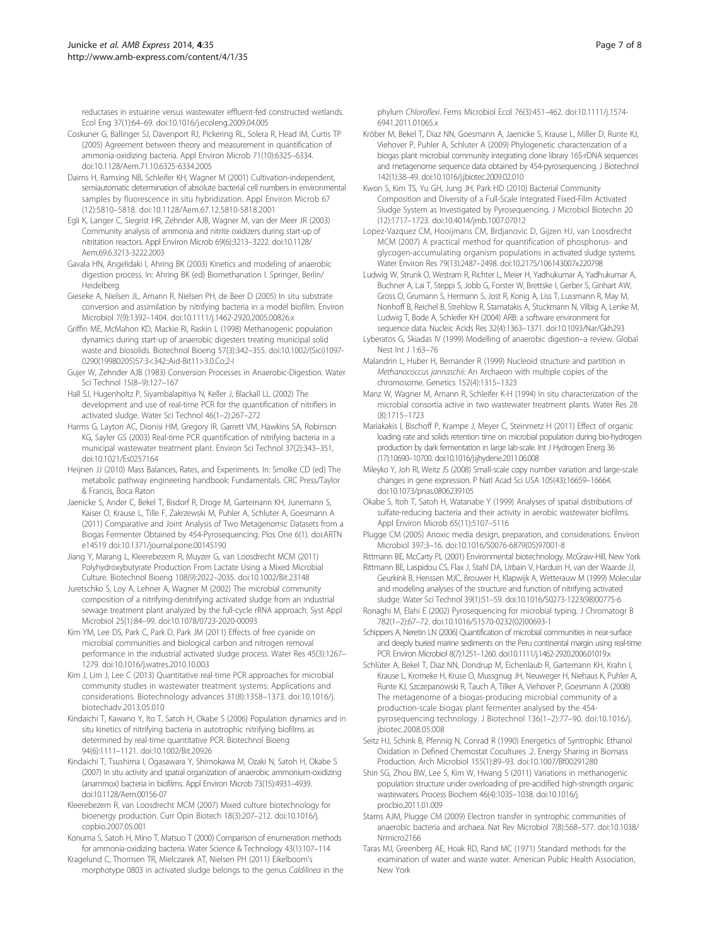<span id="page-6-0"></span>reductases in estuarine versus wastewater effluent-fed constructed wetlands. Ecol Eng 37(1):64–69. doi:10.1016/j.ecoleng.2009.04.005

- Coskuner G, Ballinger SJ, Davenport RJ, Pickering RL, Solera R, Head IM, Curtis TP (2005) Agreement between theory and measurement in quantification of ammonia-oxidizing bacteria. Appl Environ Microb 71(10):6325–6334. doi:10.1128/Aem.71.10.6325-6334.2005
- Daims H, Ramsing NB, Schleifer KH, Wagner M (2001) Cultivation-independent, semiautomatic determination of absolute bacterial cell numbers in environmental samples by fluorescence in situ hybridization. Appl Environ Microb 67 (12):5810–5818. doi:10.1128/Aem.67.12.5810-5818.2001
- Egli K, Langer C, Siegrist HR, Zehnder AJB, Wagner M, van der Meer JR (2003) Community analysis of ammonia and nitrite oxidizers during start-up of nitritation reactors. Appl Environ Microb 69(6):3213–3222. doi:10.1128/ Aem.69.6.3213-3222.2003
- Gavala HN, Angelidaki I, Ahring BK (2003) Kinetics and modeling of anaerobic digestion process. In: Ahring BK (ed) Biomethanation I. Springer, Berlin/ Heidelberg
- Gieseke A, Nielsen JL, Amann R, Nielsen PH, de Beer D (2005) In situ substrate conversion and assimilation by nitrifying bacteria in a model biofilm. Environ Microbiol 7(9):1392–1404. doi:10.1111/j.1462-2920.2005.00826.x
- Griffin ME, McMahon KD, Mackie RI, Raskin L (1998) Methanogenic population dynamics during start-up of anaerobic digesters treating municipal solid waste and biosolids. Biotechnol Bioeng 57(3):342–355. doi:10.1002/(Sici)1097- 0290(19980205)57:3<342::Aid-Bit11>3.0.Co;2-I
- Gujer W, Zehnder AJB (1983) Conversion Processes in Anaerobic-Digestion. Water Sci Technol 15(8–9):127–167
- Hall SJ, Hugenholtz P, Siyambalapitiya N, Keller J, Blackall LL (2002) The development and use of real-time PCR for the quantification of nitrifiers in activated sludge. Water Sci Technol 46(1–2):267–272
- Harms G, Layton AC, Dionisi HM, Gregory IR, Garrett VM, Hawkins SA, Robinson KG, Sayler GS (2003) Real-time PCR quantification of nitrifying bacteria in a municipal wastewater treatment plant. Environ Sci Technol 37(2):343–351, doi:10.1021/Es0257164
- Heijnen JJ (2010) Mass Balances, Rates, and Experiments. In: Smolke CD (ed) The metabolic pathway engineering handbook: Fundamentals. CRC Press/Taylor & Francis, Boca Raton
- Jaenicke S, Ander C, Bekel T, Bisdorf R, Droge M, Gartemann KH, Junemann S, Kaiser O, Krause L, Tille F, Zakrzewski M, Puhler A, Schluter A, Goesmann A (2011) Comparative and Joint Analysis of Two Metagenomic Datasets from a Biogas Fermenter Obtained by 454-Pyrosequencing. Plos One 6(1). doi:ARTN e14519 doi:10.1371/journal.pone.00145190
- Jiang Y, Marang L, Kleerebezem R, Muyzer G, van Loosdrecht MCM (2011) Polyhydroxybutyrate Production From Lactate Using a Mixed Microbial Culture. Biotechnol Bioeng 108(9):2022–2035. doi:10.1002/Bit.23148
- Juretschko S, Loy A, Lehner A, Wagner M (2002) The microbial community composition of a nitrifying-denitrifying activated sludge from an industrial sewage treatment plant analyzed by the full-cycle rRNA approach. Syst Appl Microbiol 25(1):84–99. doi:10.1078/0723-2020-00093
- Kim YM, Lee DS, Park C, Park D, Park JM (2011) Effects of free cyanide on microbial communities and biological carbon and nitrogen removal performance in the industrial activated sludge process. Water Res 45(3):1267– 1279. doi:10.1016/j.watres.2010.10.003
- Kim J, Lim J, Lee C (2013) Quantitative real-time PCR approaches for microbial community studies in wastewater treatment systems: Applications and considerations. Biotechnology advances 31(8):1358–1373. doi:10.1016/j. biotechadv.2013.05.010
- Kindaichi T, Kawano Y, Ito T, Satoh H, Okabe S (2006) Population dynamics and in situ kinetics of nitrifying bacteria in autotrophic nitrifying biofilms as determined by real-time quantitative PCR. Biotechnol Bioeng 94(6):1111–1121. doi:10.1002/Bit.20926
- Kindaichi T, Tsushima I, Ogasawara Y, Shimokawa M, Ozaki N, Satoh H, Okabe S (2007) In situ activity and spatial organization of anaerobic ammonium-oxidizing (anammox) bacteria in biofilms. Appl Environ Microb 73(15):4931–4939. doi:10.1128/Aem.00156-07
- Kleerebezem R, van Loosdrecht MCM (2007) Mixed culture biotechnology for bioenergy production. Curr Opin Biotech 18(3):207–212. doi:10.1016/j. copbio.2007.05.001
- Konuma S, Satoh H, Mino T, Matsuo T (2000) Comparison of enumeration methods for ammonia-oxidizing bacteria. Water Science & Technology 43(1):107–114
- Kragelund C, Thomsen TR, Mielczarek AT, Nielsen PH (2011) Eikelboom's morphotype 0803 in activated sludge belongs to the genus Caldilinea in the

phylum Chloroflexi. Fems Microbiol Ecol 76(3):451–462. doi:10.1111/j.1574- 6941.2011.01065.x

- Kröber M, Bekel T, Diaz NN, Goesmann A, Jaenicke S, Krause L, Miller D, Runte KJ, Viehover P, Puhler A, Schluter A (2009) Phylogenetic characterization of a biogas plant microbial community integrating clone library 16S-rDNA sequences and metagenome sequence data obtained by 454-pyrosequencing. J Biotechnol 142(1):38–49. doi:10.1016/j.jbiotec.2009.02.010
- Kwon S, Kim TS, Yu GH, Jung JH, Park HD (2010) Bacterial Community Composition and Diversity of a Full-Scale Integrated Fixed-Film Activated Sludge System as Investigated by Pyrosequencing. J Microbiol Biotechn 20 (12):1717–1723. doi:10.4014/jmb.1007.07012
- Lopez-Vazquez CM, Hooijmans CM, Brdjanovic D, Gijzen HJ, van Loosdrecht MCM (2007) A practical method for quantification of phosphorus- and glycogen-accumulating organism populations in activated sludge systems. Water Environ Res 79(13):2487–2498. doi:10.2175/106143007x220798
- Ludwig W, Strunk O, Westram R, Richter L, Meier H, Yadhukumar A, Yadhukumar A, Buchner A, Lai T, Steppi S, Jobb G, Forster W, Brettske I, Gerber S, Ginhart AW, Gross O, Grumann S, Hermann S, Jost R, Konig A, Liss T, Lussmann R, May M, Nonhoff B, Reichel B, Strehlow R, Stamatakis A, Stuckmann N, Vilbig A, Lenke M, Ludwig T, Bode A, Schleifer KH (2004) ARB: a software environment for sequence data. Nucleic Acids Res 32(4):1363–1371. doi:10.1093/Nar/Gkh293
- Lyberatos G, Skiadas IV (1999) Modelling of anaerobic digestion–a review. Global Nest Int J 1:63–76
- Malandrin L, Huber H, Bernander R (1999) Nucleoid structure and partition in Methanococcus jannaschii: An Archaeon with multiple copies of the chromosome. Genetics 152(4):1315–1323
- Manz W, Wagner M, Amann R, Schleifer K-H (1994) In situ characterization of the microbial consortia active in two wastewater treatment plants. Water Res 28 (8):1715–1723
- Mariakakis I, Bischoff P, Krampe J, Meyer C, Steinmetz H (2011) Effect of organic loading rate and solids retention time on microbial population during bio-hydrogen production by dark fermentation in large lab-scale. Int J Hydrogen Energ 36 (17):10690–10700. doi:10.1016/j.ijhydene.2011.06.008
- Mileyko Y, Joh RI, Weitz JS (2008) Small-scale copy number variation and large-scale changes in gene expression. P Natl Acad Sci USA 105(43):16659–16664. doi:10.1073/pnas.0806239105
- Okabe S, Itoh T, Satoh H, Watanabe Y (1999) Analyses of spatial distributions of sulfate-reducing bacteria and their activity in aerobic wastewater biofilms. Appl Environ Microb 65(11):5107–5116
- Plugge CM (2005) Anoxic media design, preparation, and considerations. Environ Microbiol 397:3–16. doi:10.1016/S0076-6879(05)97001-8
- Rittmann BE, McCarty PL (2001) Environmental biotechnology. McGraw-Hill, New York Rittmann BE, Laspidou CS, Flax J, Stahl DA, Urbain V, Harduin H, van der Waarde JJ, Geurkink B, Henssen MJC, Brouwer H, Klapwijk A, Wetterauw M (1999) Molecular and modeling analyses of the structure and function of nitrifying activated sludge. Water Sci Technol 39(1):51–59. doi:10.1016/S0273-1223(98)00775-6
- Ronaghi M, Elahi E (2002) Pyrosequencing for microbial typing. J Chromatogr B 782(1–2):67–72. doi:10.1016/S1570-0232(02)00693-1
- Schippers A, Neretin LN (2006) Quantification of microbial communities in near-surface and deeply buried marine sediments on the Peru continental margin using real-time PCR. Environ Microbiol 8(7):1251–1260. doi:10.1111/j.1462-2920.2006.01019.x
- Schlüter A, Bekel T, Diaz NN, Dondrup M, Eichenlaub R, Gartemann KH, Krahn I, Krause L, Kromeke H, Kruse O, Mussgnug JH, Neuweger H, Niehaus K, Puhler A, Runte KJ, Szczepanowski R, Tauch A, Tilker A, Viehover P, Goesmann A (2008) The metagenome of a biogas-producing microbial community of a production-scale biogas plant fermenter analysed by the 454 pyrosequencing technology. J Biotechnol 136(1–2):77–90. doi:10.1016/j. jbiotec.2008.05.008
- Seitz HJ, Schink B, Pfennig N, Conrad R (1990) Energetics of Syntrophic Ethanol Oxidation in Defined Chemostat Cocultures .2. Energy Sharing in Biomass Production. Arch Microbiol 155(1):89–93. doi:10.1007/Bf00291280
- Shin SG, Zhou BW, Lee S, Kim W, Hwang S (2011) Variations in methanogenic population structure under overloading of pre-acidified high-strength organic wastewaters. Process Biochem 46(4):1035–1038. doi:10.1016/j. procbio.2011.01.009
- Stams AJM, Plugge CM (2009) Electron transfer in syntrophic communities of anaerobic bacteria and archaea. Nat Rev Microbiol 7(8):568–577. doi:10.1038/ Nrmicro2166
- Taras MJ, Greenberg AE, Hoak RD, Rand MC (1971) Standard methods for the examination of water and waste water. American Public Health Association, New York